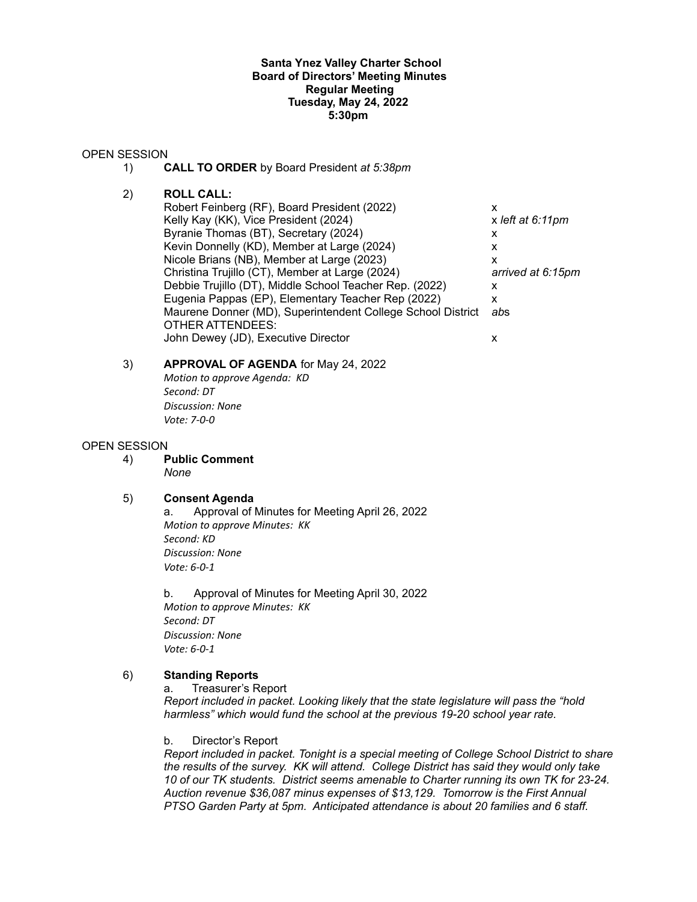#### **Santa Ynez Valley Charter School Board of Directors' Meeting Minutes Regular Meeting Tuesday, May 24, 2022 5:30pm**

#### OPEN SESSION

- 1) **CALL TO ORDER** by Board President *at 5:38pm*
- 2) **ROLL CALL:**
	- Robert Feinberg (RF), Board President (2022) x Kelly Kay (KK), Vice President (2024) x left at 6:11pm Byranie Thomas (BT), Secretary (2024)  $\times$ Kevin Donnelly (KD), Member at Large (2024)  $\times$ Nicole Brians (NB), Member at Large (2023) x Christina Trujillo (CT), Member at Large (2024) *arrived at 6:15pm* Debbie Trujillo (DT), Middle School Teacher Rep. (2022) x Eugenia Pappas (EP), Elementary Teacher Rep (2022) x Maurene Donner (MD), Superintendent College School District *ab*s OTHER ATTENDEES: John Dewey (JD), Executive Director x

## 3) **APPROVAL OF AGENDA** for May 24, 2022 *Motion to approve Agenda: KD Second: DT*

*Discussion: None Vote: 7-0-0*

## OPEN SESSION

4) **Public Comment** *None*

#### 5) **Consent Agenda**

a. Approval of Minutes for Meeting April 26, 2022 *Motion to approve Minutes: KK Second: KD Discussion: None Vote: 6-0-1*

b. Approval of Minutes for Meeting April 30, 2022 *Motion to approve Minutes: KK Second: DT Discussion: None Vote: 6-0-1*

# 6) **Standing Reports**

a. Treasurer's Report

*Report included in packet. Looking likely that the state legislature will pass the "hold harmless" which would fund the school at the previous 19-20 school year rate.*

b. Director's Report

*Report included in packet. Tonight is a special meeting of College School District to share the results of the survey. KK will attend. College District has said they would only take 10 of our TK students. District seems amenable to Charter running its own TK for 23-24. Auction revenue \$36,087 minus expenses of \$13,129. Tomorrow is the First Annual PTSO Garden Party at 5pm. Anticipated attendance is about 20 families and 6 staff.*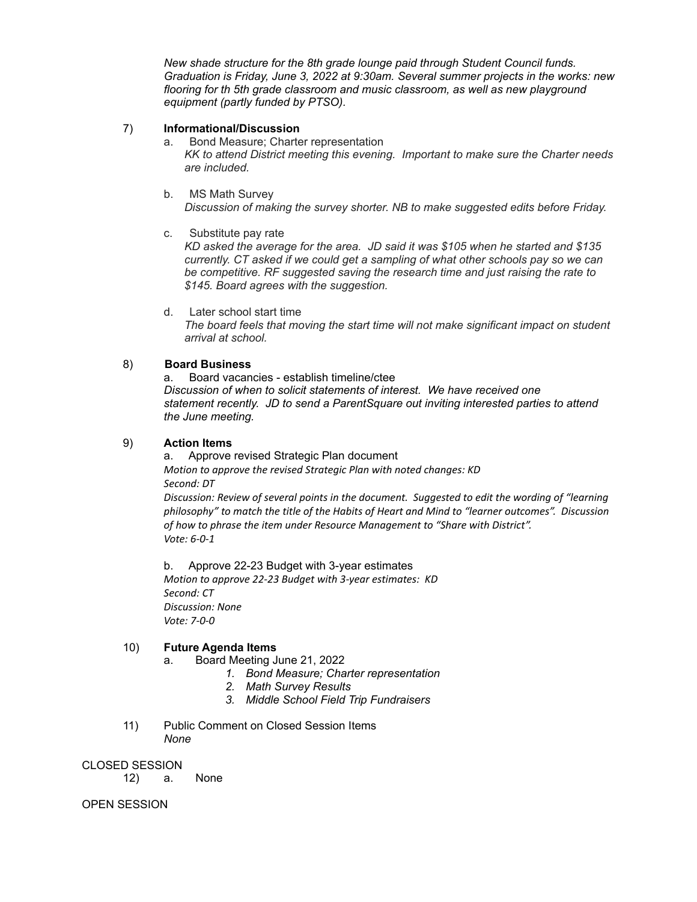*New shade structure for the 8th grade lounge paid through Student Council funds. Graduation is Friday, June 3, 2022 at 9:30am. Several summer projects in the works: new flooring for th 5th grade classroom and music classroom, as well as new playground equipment (partly funded by PTSO).*

## 7) **Informational/Discussion**

a. Bond Measure; Charter representation *KK to attend District meeting this evening. Important to make sure the Charter needs are included.*

- b. MS Math Survey *Discussion of making the survey shorter. NB to make suggested edits before Friday.*
- c. Substitute pay rate

*KD asked the average for the area. JD said it was \$105 when he started and \$135 currently. CT asked if we could get a sampling of what other schools pay so we can be competitive. RF suggested saving the research time and just raising the rate to \$145. Board agrees with the suggestion.*

d. Later school start time *The board feels that moving the start time will not make significant impact on student arrival at school.*

## 8) **Board Business**

a. Board vacancies - establish timeline/ctee *Discussion of when to solicit statements of interest. We have received one statement recently. JD to send a ParentSquare out inviting interested parties to attend the June meeting.*

## 9) **Action Items**

a. Approve revised Strategic Plan document *Motion to approve the revised Strategic Plan with noted changes: KD Second: DT*

*Discussion: Review of several points in the document. Suggested to edit the wording of "learning philosophy" to match the title of the Habits of Heart and Mind to "learner outcomes". Discussion of how to phrase the item under Resource Management to "Share with District". Vote: 6-0-1*

b. Approve 22-23 Budget with 3-year estimates *Motion to approve 22-23 Budget with 3-year estimates: KD Second: CT Discussion: None Vote: 7-0-0*

# 10) **Future Agenda Items**

- a. Board Meeting June 21, 2022
	- *1. Bond Measure; Charter representation*
	- *2. Math Survey Results*
	- *3. Middle School Field Trip Fundraisers*
- 11) Public Comment on Closed Session Items *None*

#### CLOSED SESSION

12) a. None

OPEN SESSION